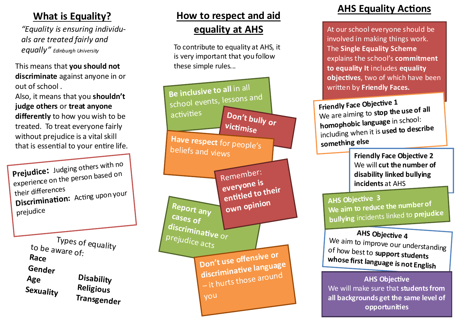### **What is Equality?**

*"Equality is ensuring individuals are treated fairly and equally" Edinburgh University*

This means that **you should not discriminate** against anyone in or out of school .

Also, it means that you **shouldn't judge others** or **treat anyone differently** to how you wish to be treated. To treat everyone fairly without prejudice is a vital skill that is essential to your entire life.

**Prejudice:** Judging others with no<br>experience on the person based on<br>their differences **Discrimination:** Acting upon your prejudice

> Types of equality to be aware of: **Race Gender Age Sexuality Disability Religious Transgender**

## **How to respect and aid equality at AHS**

To contribute to equality at AHS, it is very important that you follow these simple rules...



### **AHS Equality Actions**

At our school everyone should be involved in making things work. The **Single Equality Scheme**  explains the school's **commitment to equality It** includes **equality objectives**, two of which have been written by **Friendly Faces.**

**Friendly Face Objective 1** We are aiming to **stop the use of all homophobic language** in school: including when it is **used to describe something else**

> **Friendly Face Objective 2** We will **cut the number of disability linked bullying incidents** at AHS

**AHS Objective <sup>3</sup> We aim to reduce the number of bullying** incidents linked to **prejudice** 

**AHS Objective 4** We aim to improve our understanding of how best to **support students whose first language is not English**

#### **AHS Objective**

We will make sure that **students from all backgrounds get the same level of opportunities**